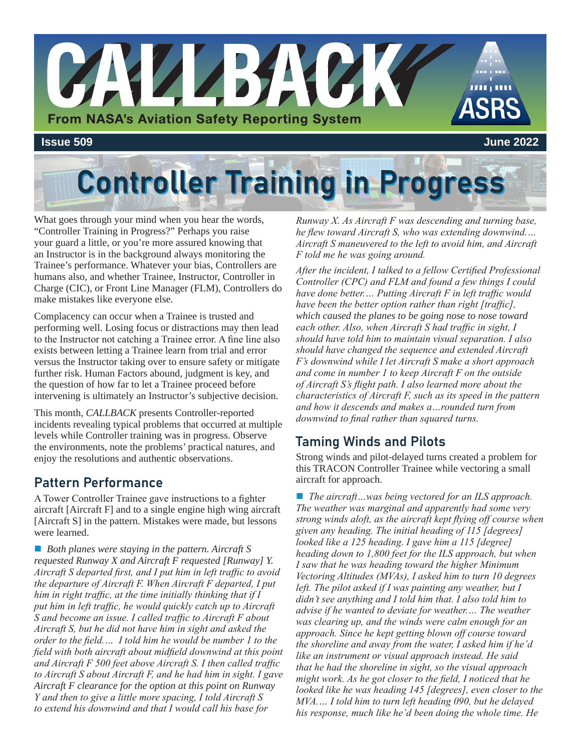

# **Controller Training in Progress**

What goes through your mind when you hear the words, "Controller Training in Progress?" Perhaps you raise your guard a little, or you're more assured knowing that an Instructor is in the background always monitoring the Trainee's performance. Whatever your bias, Controllers are humans also, and whether Trainee, Instructor, Controller in Charge (CIC), or Front Line Manager (FLM), Controllers do make mistakes like everyone else.

Complacency can occur when a Trainee is trusted and performing well. Losing focus or distractions may then lead to the Instructor not catching a Trainee error. A fine line also exists between letting a Trainee learn from trial and error versus the Instructor taking over to ensure safety or mitigate further risk. Human Factors abound, judgment is key, and the question of how far to let a Trainee proceed before intervening is ultimately an Instructor's subjective decision.

This month, *CALLBACK* presents Controller-reported incidents revealing typical problems that occurred at multiple levels while Controller training was in progress. Observe the environments, note the problems' practical natures, and enjoy the resolutions and authentic observations.

## Pattern Performance

A Tower Controller Trainee gave instructions to a fighter aircraft [Aircraft F] and to a single engine high wing aircraft [Aircraft S] in the pattern. Mistakes were made, but lessons were learned.

■ *Both planes were staying in the pattern. Aircraft S requested Runway X and Aircraft F requested [Runway] Y. Aircraft S departed first, and I put him in left traffic to avoid the departure of Aircraft F. When Aircraft F departed, I put him in right traffic, at the time initially thinking that if I put him in left traffic, he would quickly catch up to Aircraft S and become an issue. I called traffic to Aircraft F about Aircraft S, but he did not have him in sight and asked the order to the field.… I told him he would be number 1 to the field with both aircraft about midfield downwind at this point and Aircraft F 500 feet above Aircraft S. I then called traffic to Aircraft S about Aircraft F, and he had him in sight. I gave Aircraft F clearance for the option at this point on Runway Y and then to give a little more spacing, I told Aircraft S to extend his downwind and that I would call his base for* 

*Runway X. As Aircraft F was descending and turning base, he flew toward Aircraft S, who was extending downwind.… Aircraft S maneuvered to the left to avoid him, and Aircraft F told me he was going around.*

*After the incident, I talked to a fellow Certified Professional Controller (CPC) and FLM and found a few things I could have done better.… Putting Aircraft F in left traffic would have been the better option rather than right [traffic], which caused the planes to be going nose to nose toward each other. Also, when Aircraft S had traffic in sight, I should have told him to maintain visual separation. I also should have changed the sequence and extended Aircraft F's downwind while I let Aircraft S make a short approach and come in number 1 to keep Aircraft F on the outside of Aircraft S's flight path. I also learned more about the characteristics of Aircraft F, such as its speed in the pattern and how it descends and makes a…rounded turn from downwind to final rather than squared turns.*

## Taming Winds and Pilots

Strong winds and pilot-delayed turns created a problem for this TRACON Controller Trainee while vectoring a small aircraft for approach.

■ *The aircraft* …was being vectored for an ILS approach. *The weather was marginal and apparently had some very strong winds aloft, as the aircraft kept flying off course when given any heading. The initial heading of 115 [degrees] looked like a 125 heading. I gave him a 115 [degree] heading down to 1,800 feet for the ILS approach, but when I saw that he was heading toward the higher Minimum Vectoring Altitudes (MVAs), I asked him to turn 10 degrees left. The pilot asked if I was painting any weather, but I didn't see anything and I told him that. I also told him to advise if he wanted to deviate for weather.… The weather was clearing up, and the winds were calm enough for an approach. Since he kept getting blown off course toward the shoreline and away from the water, I asked him if he'd like an instrument or visual approach instead. He said that he had the shoreline in sight, so the visual approach might work. As he got closer to the field, I noticed that he looked like he was heading 145 [degrees], even closer to the MVA.… I told him to turn left heading 090, but he delayed his response, much like he'd been doing the whole time. He*